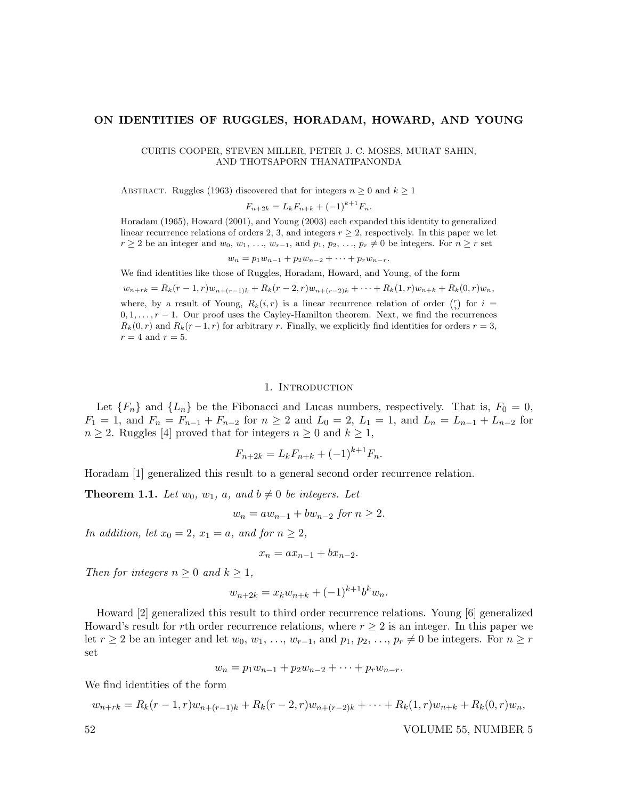CURTIS COOPER, STEVEN MILLER, PETER J. C. MOSES, MURAT SAHIN, AND THOTSAPORN THANATIPANONDA

ABSTRACT. Ruggles (1963) discovered that for integers  $n \geq 0$  and  $k \geq 1$ 

$$
F_{n+2k} = L_k F_{n+k} + (-1)^{k+1} F_n.
$$

Horadam (1965), Howard (2001), and Young (2003) each expanded this identity to generalized linear recurrence relations of orders 2, 3, and integers  $r \geq 2$ , respectively. In this paper we let  $r \geq 2$  be an integer and  $w_0, w_1, \ldots, w_{r-1}$ , and  $p_1, p_2, \ldots, p_r \neq 0$  be integers. For  $n \geq r$  set

 $w_n = p_1w_{n-1} + p_2w_{n-2} + \cdots + p_rw_{n-r}.$ 

We find identities like those of Ruggles, Horadam, Howard, and Young, of the form

 $w_{n+rk} = R_k(r-1,r)w_{n+(r-1)k} + R_k(r-2,r)w_{n+(r-2)k} + \cdots + R_k(1,r)w_{n+k} + R_k(0,r)w_n$ where, by a result of Young,  $R_k(i,r)$  is a linear recurrence relation of order  $\binom{r}{i}$  for  $i =$ 

 $0, 1, \ldots, r-1$ . Our proof uses the Cayley-Hamilton theorem. Next, we find the recurrences  $R_k(0, r)$  and  $R_k(r-1, r)$  for arbitrary r. Finally, we explicitly find identities for orders  $r = 3$ ,  $r = 4$  and  $r = 5$ .

#### 1. Introduction

Let  ${F_n}$  and  ${L_n}$  be the Fibonacci and Lucas numbers, respectively. That is,  $F_0 = 0$ ,  $F_1 = 1$ , and  $F_n = F_{n-1} + F_{n-2}$  for  $n \ge 2$  and  $L_0 = 2$ ,  $L_1 = 1$ , and  $L_n = L_{n-1} + L_{n-2}$  for  $n \geq 2$ . Ruggles [4] proved that for integers  $n \geq 0$  and  $k \geq 1$ ,

$$
F_{n+2k} = L_k F_{n+k} + (-1)^{k+1} F_n.
$$

Horadam [1] generalized this result to a general second order recurrence relation.

**Theorem 1.1.** Let  $w_0$ ,  $w_1$ , a, and  $b \neq 0$  be integers. Let

$$
w_n = aw_{n-1} + bw_{n-2} \text{ for } n \ge 2.
$$

In addition, let  $x_0 = 2$ ,  $x_1 = a$ , and for  $n \geq 2$ ,

$$
x_n = ax_{n-1} + bx_{n-2}.
$$

Then for integers  $n \geq 0$  and  $k \geq 1$ ,

$$
w_{n+2k} = x_k w_{n+k} + (-1)^{k+1} b^k w_n.
$$

Howard [2] generalized this result to third order recurrence relations. Young [6] generalized Howard's result for rth order recurrence relations, where  $r \geq 2$  is an integer. In this paper we let  $r \geq 2$  be an integer and let  $w_0, w_1, \ldots, w_{r-1}$ , and  $p_1, p_2, \ldots, p_r \neq 0$  be integers. For  $n \geq r$ set

$$
w_n = p_1 w_{n-1} + p_2 w_{n-2} + \cdots + p_r w_{n-r}.
$$

We find identities of the form

$$
w_{n+rk} = R_k(r-1,r)w_{n+(r-1)k} + R_k(r-2,r)w_{n+(r-2)k} + \cdots + R_k(1,r)w_{n+k} + R_k(0,r)w_n,
$$

52 VOLUME 55, NUMBER 5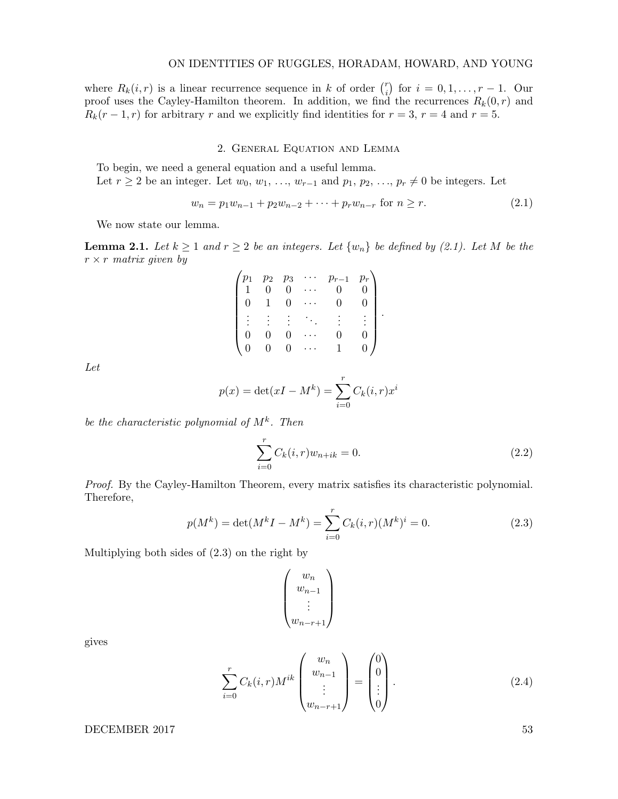where  $R_k(i, r)$  is a linear recurrence sequence in k of order  $\binom{r}{i}$  $i_j$  for  $i = 0, 1, ..., r - 1$ . Our proof uses the Cayley-Hamilton theorem. In addition, we find the recurrences  $R_k(0,r)$  and  $R_k(r-1,r)$  for arbitrary r and we explicitly find identities for  $r=3$ ,  $r=4$  and  $r=5$ .

# 2. General Equation and Lemma

To begin, we need a general equation and a useful lemma.

Let  $r \geq 2$  be an integer. Let  $w_0, w_1, \ldots, w_{r-1}$  and  $p_1, p_2, \ldots, p_r \neq 0$  be integers. Let

$$
w_n = p_1 w_{n-1} + p_2 w_{n-2} + \dots + p_r w_{n-r} \text{ for } n \ge r. \tag{2.1}
$$

We now state our lemma.

**Lemma 2.1.** Let  $k \ge 1$  and  $r \ge 2$  be an integers. Let  $\{w_n\}$  be defined by (2.1). Let M be the  $r \times r$  matrix given by

|   | $p_2$ | $p_{3}% \sqrt{p}=\sqrt{p_{2}-p_{1}}$ | $p_{r-1}$ | $p_r$ |  |
|---|-------|--------------------------------------|-----------|-------|--|
|   | O     | $\Omega$                             |           |       |  |
| 0 |       | $\Omega$                             |           |       |  |
|   |       |                                      |           |       |  |
|   |       | 0                                    |           |       |  |
|   |       | $\Box$                               |           |       |  |

Let

$$
p(x) = \det(xI - M^k) = \sum_{i=0}^{r} C_k(i, r)x^i
$$

be the characteristic polynomial of  $M^k$ . Then

$$
\sum_{i=0}^{r} C_k(i, r) w_{n+ik} = 0.
$$
\n(2.2)

Proof. By the Cayley-Hamilton Theorem, every matrix satisfies its characteristic polynomial. Therefore,

$$
p(M^k) = \det(M^k I - M^k) = \sum_{i=0}^r C_k(i, r)(M^k)^i = 0.
$$
 (2.3)

Multiplying both sides of (2.3) on the right by

$$
\begin{pmatrix} w_n \\ w_{n-1} \\ \vdots \\ w_{n-r+1} \end{pmatrix}
$$

gives

$$
\sum_{i=0}^{r} C_k(i,r) M^{ik} \begin{pmatrix} w_n \\ w_{n-1} \\ \vdots \\ w_{n-r+1} \end{pmatrix} = \begin{pmatrix} 0 \\ 0 \\ \vdots \\ 0 \end{pmatrix} .
$$
 (2.4)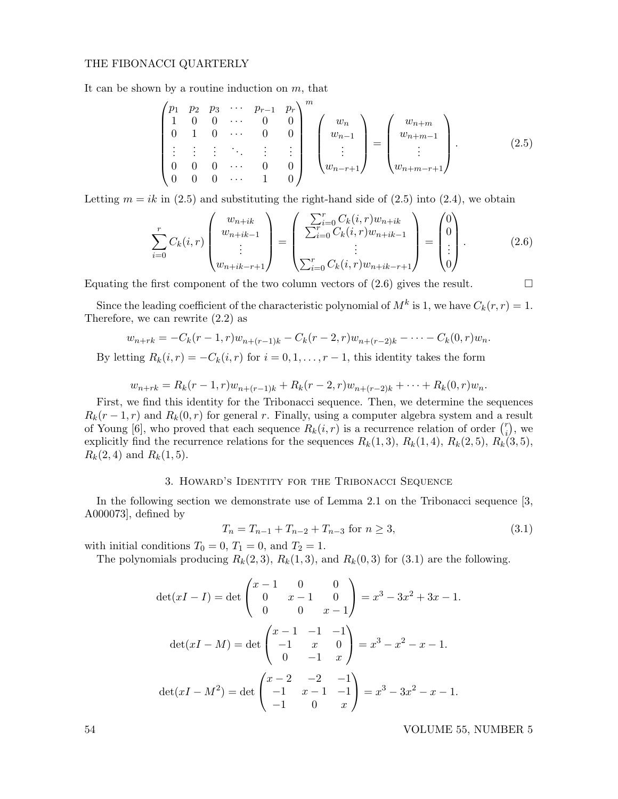It can be shown by a routine induction on  $m$ , that

$$
\begin{pmatrix}\np_1 & p_2 & p_3 & \cdots & p_{r-1} & p_r \\
1 & 0 & 0 & \cdots & 0 & 0 \\
0 & 1 & 0 & \cdots & 0 & 0 \\
\vdots & \vdots & \vdots & \ddots & \vdots & \vdots \\
0 & 0 & 0 & \cdots & 0 & 0 \\
0 & 0 & 0 & \cdots & 1 & 0\n\end{pmatrix}^m \begin{pmatrix}\nw_n \\
w_{n-1} \\
\vdots \\
w_{n-r+1}\n\end{pmatrix} = \begin{pmatrix}\nw_{n+m} \\
w_{n+m-1} \\
\vdots \\
w_{n+m-r+1}\n\end{pmatrix}.
$$
\n(2.5)

Letting  $m = ik$  in (2.5) and substituting the right-hand side of (2.5) into (2.4), we obtain

$$
\sum_{i=0}^{r} C_k(i,r) \begin{pmatrix} w_{n+ik} \\ w_{n+ik-1} \\ \vdots \\ w_{n+ik-r+1} \end{pmatrix} = \begin{pmatrix} \sum_{i=0}^{r} C_k(i,r) w_{n+ik} \\ \sum_{i=0}^{r} C_k(i,r) w_{n+ik-1} \\ \vdots \\ \sum_{i=0}^{r} C_k(i,r) w_{n+ik-r+1} \end{pmatrix} = \begin{pmatrix} 0 \\ 0 \\ \vdots \\ 0 \end{pmatrix}.
$$
\n(2.6)

Equating the first component of the two column vectors of  $(2.6)$  gives the result.

Since the leading coefficient of the characteristic polynomial of  $M^k$  is 1, we have  $C_k(r,r) = 1$ . Therefore, we can rewrite (2.2) as

$$
w_{n+rk} = -C_k(r-1,r)w_{n+(r-1)k} - C_k(r-2,r)w_{n+(r-2)k} - \cdots - C_k(0,r)w_n.
$$

By letting  $R_k(i, r) = -C_k(i, r)$  for  $i = 0, 1, \ldots, r - 1$ , this identity takes the form

$$
w_{n+rk} = R_k(r-1,r)w_{n+(r-1)k} + R_k(r-2,r)w_{n+(r-2)k} + \cdots + R_k(0,r)w_n.
$$

First, we find this identity for the Tribonacci sequence. Then, we determine the sequences  $R_k(r-1,r)$  and  $R_k(0,r)$  for general r. Finally, using a computer algebra system and a result of Young [6], who proved that each sequence  $R_k(i, r)$  is a recurrence relation of order  $\binom{r}{i}$  $i \choose i$ , we explicitly find the recurrence relations for the sequences  $R_k(1,3)$ ,  $R_k(1,4)$ ,  $R_k(2,5)$ ,  $R_k(3,5)$ ,  $R_k(2, 4)$  and  $R_k(1, 5)$ .

# 3. Howard's Identity for the Tribonacci Sequence

In the following section we demonstrate use of Lemma 2.1 on the Tribonacci sequence [3, A000073], defined by

$$
T_n = T_{n-1} + T_{n-2} + T_{n-3} \text{ for } n \ge 3,
$$
\n(3.1)

with initial conditions  $T_0 = 0$ ,  $T_1 = 0$ , and  $T_2 = 1$ .

The polynomials producing  $R_k(2,3)$ ,  $R_k(1,3)$ , and  $R_k(0,3)$  for  $(3.1)$  are the following.

$$
\det(xI - I) = \det\begin{pmatrix} x - 1 & 0 & 0 \\ 0 & x - 1 & 0 \\ 0 & 0 & x - 1 \end{pmatrix} = x^3 - 3x^2 + 3x - 1.
$$

$$
\det(xI - M) = \det\begin{pmatrix} x - 1 & -1 & -1 \\ -1 & x & 0 \\ 0 & -1 & x \end{pmatrix} = x^3 - x^2 - x - 1.
$$

$$
\det(xI - M^2) = \det\begin{pmatrix} x - 2 & -2 & -1 \\ -1 & x - 1 & -1 \\ -1 & 0 & x \end{pmatrix} = x^3 - 3x^2 - x - 1.
$$

54 VOLUME 55, NUMBER 5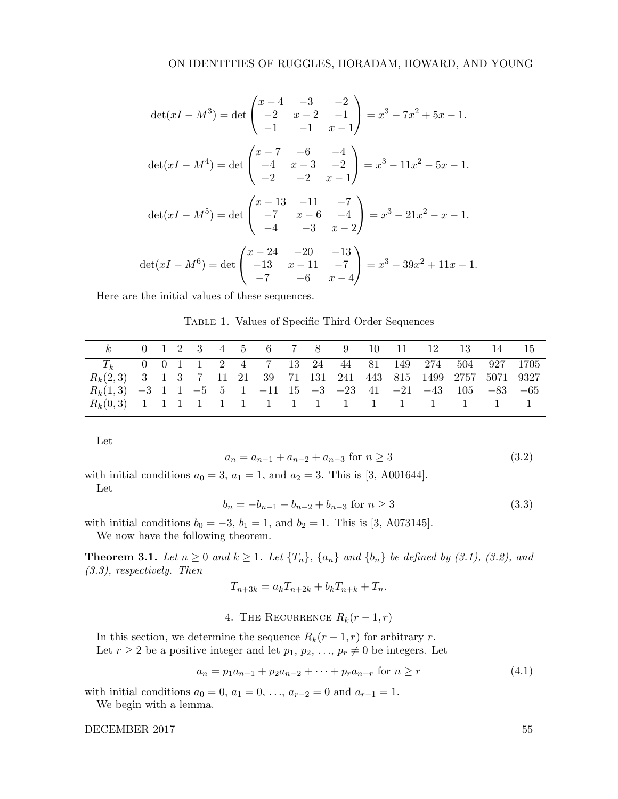$$
\det(xI - M^3) = \det\begin{pmatrix} x - 4 & -3 & -2 \\ -2 & x - 2 & -1 \\ -1 & -1 & x - 1 \end{pmatrix} = x^3 - 7x^2 + 5x - 1.
$$
  
\n
$$
\det(xI - M^4) = \det\begin{pmatrix} x - 7 & -6 & -4 \\ -4 & x - 3 & -2 \\ -2 & -2 & x - 1 \end{pmatrix} = x^3 - 11x^2 - 5x - 1.
$$
  
\n
$$
\det(xI - M^5) = \det\begin{pmatrix} x - 13 & -11 & -7 \\ -7 & x - 6 & -4 \\ -4 & -3 & x - 2 \end{pmatrix} = x^3 - 21x^2 - x - 1.
$$
  
\n
$$
\det(xI - M^6) = \det\begin{pmatrix} x - 24 & -20 & -13 \\ -13 & x - 11 & -7 \\ -7 & -6 & x - 4 \end{pmatrix} = x^3 - 39x^2 + 11x - 1.
$$

Here are the initial values of these sequences.

Table 1. Values of Specific Third Order Sequences

|                                                                    |  |  |  |  |  |  | k 0 1 2 3 4 5 6 7 8 9 10 11 12 13 14 15 |  |
|--------------------------------------------------------------------|--|--|--|--|--|--|-----------------------------------------|--|
| $T_k$ 0 0 1 1 2 4 7 13 24 44 81 149 274 504 927 1705               |  |  |  |  |  |  |                                         |  |
| $R_k(2,3)$ 3 1 3 7 11 21 39 71 131 241 443 815 1499 2757 5071 9327 |  |  |  |  |  |  |                                         |  |
| $R_k(1,3)$ -3 1 1 -5 5 1 -11 15 -3 -23 41 -21 -43 105 -83 -65      |  |  |  |  |  |  |                                         |  |
|                                                                    |  |  |  |  |  |  |                                         |  |

Let

$$
a_n = a_{n-1} + a_{n-2} + a_{n-3} \text{ for } n \ge 3
$$
\n
$$
(3.2)
$$

with initial conditions  $a_0 = 3$ ,  $a_1 = 1$ , and  $a_2 = 3$ . This is [3, A001644].

Let

$$
b_n = -b_{n-1} - b_{n-2} + b_{n-3} \text{ for } n \ge 3
$$
\n(3.3)

with initial conditions  $b_0 = -3$ ,  $b_1 = 1$ , and  $b_2 = 1$ . This is [3, A073145].

We now have the following theorem.

**Theorem 3.1.** Let  $n \geq 0$  and  $k \geq 1$ . Let  $\{T_n\}$ ,  $\{a_n\}$  and  $\{b_n\}$  be defined by (3.1), (3.2), and (3.3), respectively. Then

 $T_{n+3k} = a_k T_{n+2k} + b_k T_{n+k} + T_n.$ 

4. THE RECURRENCE  $R_k(r-1,r)$ 

In this section, we determine the sequence  $R_k(r-1,r)$  for arbitrary r. Let  $r \geq 2$  be a positive integer and let  $p_1, p_2, \ldots, p_r \neq 0$  be integers. Let

$$
a_n = p_1 a_{n-1} + p_2 a_{n-2} + \dots + p_r a_{n-r} \text{ for } n \ge r \tag{4.1}
$$

with initial conditions  $a_0 = 0, a_1 = 0, \ldots, a_{r-2} = 0$  and  $a_{r-1} = 1$ .

We begin with a lemma.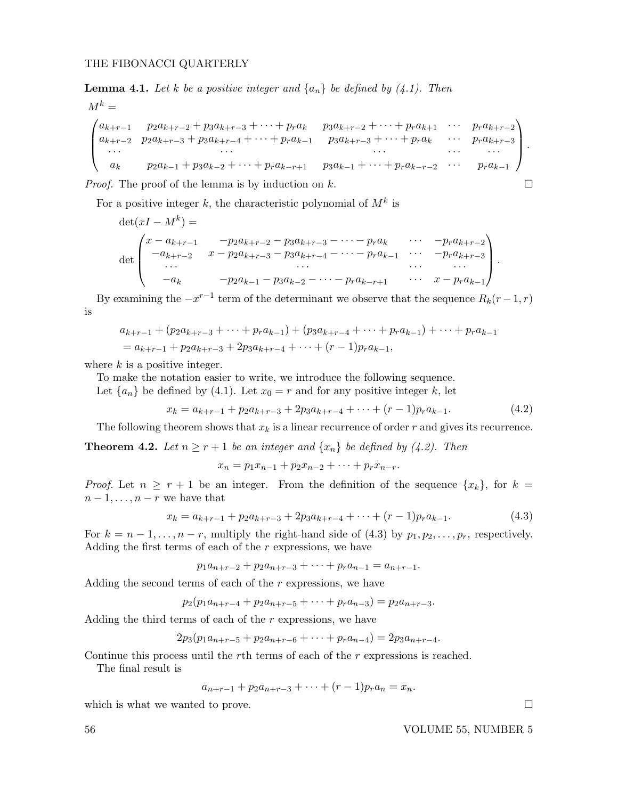**Lemma 4.1.** Let k be a positive integer and  $\{a_n\}$  be defined by (4.1). Then

$$
M^{k} =
$$
\n
$$
\begin{pmatrix}\na_{k+r-1} & p_{2}a_{k+r-2} + p_{3}a_{k+r-3} + \cdots + p_{r}a_{k} & p_{3}a_{k+r-2} + \cdots + p_{r}a_{k+1} & \cdots & p_{r}a_{k+r-2} \\
a_{k+r-2} & p_{2}a_{k+r-3} + p_{3}a_{k+r-4} + \cdots + p_{r}a_{k-1} & p_{3}a_{k+r-3} + \cdots + p_{r}a_{k} & \cdots & p_{r}a_{k+r-3} \\
\cdots & \cdots & \cdots & \cdots & \cdots \\
a_{k} & p_{2}a_{k-1} + p_{3}a_{k-2} + \cdots + p_{r}a_{k-r+1} & p_{3}a_{k-1} + \cdots + p_{r}a_{k-r-2} & \cdots & p_{r}a_{k-1}\n\end{pmatrix}.
$$

*Proof.* The proof of the lemma is by induction on k.

For a positive integer k, the characteristic polynomial of  $M^k$  is

$$
\det(xI - M^k) =
$$
\n
$$
\det\begin{pmatrix}\nx - a_{k+r-1} & -p_2 a_{k+r-2} - p_3 a_{k+r-3} - \cdots - p_r a_k & \cdots & -p_r a_{k+r-2} \\
-a_{k+r-2} & x - p_2 a_{k+r-3} - p_3 a_{k+r-4} - \cdots - p_r a_{k-1} & \cdots & -p_r a_{k+r-3} \\
\vdots & \vdots & \ddots & \vdots \\
-a_k & -p_2 a_{k-1} - p_3 a_{k-2} - \cdots - p_r a_{k-r+1} & \cdots & x - p_r a_{k-1}\n\end{pmatrix}.
$$

By examining the  $-x^{r-1}$  term of the determinant we observe that the sequence  $R_k(r-1,r)$ is

$$
a_{k+r-1} + (p_2 a_{k+r-3} + \dots + p_r a_{k-1}) + (p_3 a_{k+r-4} + \dots + p_r a_{k-1}) + \dots + p_r a_{k-1}
$$
  
=  $a_{k+r-1} + p_2 a_{k+r-3} + 2p_3 a_{k+r-4} + \dots + (r-1)p_r a_{k-1}$ ,

where  $k$  is a positive integer.

To make the notation easier to write, we introduce the following sequence.

Let  $\{a_n\}$  be defined by (4.1). Let  $x_0 = r$  and for any positive integer k, let

 $x_k = a_{k+r-1} + p_2 a_{k+r-3} + 2p_3 a_{k+r-4} + \cdots + (r-1)p_r a_{k-1}.$  (4.2)

The following theorem shows that  $x_k$  is a linear recurrence of order r and gives its recurrence.

**Theorem 4.2.** Let  $n \ge r+1$  be an integer and  $\{x_n\}$  be defined by (4.2). Then

 $x_n = p_1x_{n-1} + p_2x_{n-2} + \cdots + p_rx_{n-r}.$ 

*Proof.* Let  $n \ge r + 1$  be an integer. From the definition of the sequence  $\{x_k\}$ , for  $k =$  $n-1,\ldots,n-r$  we have that

$$
x_k = a_{k+r-1} + p_2 a_{k+r-3} + 2p_3 a_{k+r-4} + \dots + (r-1)p_r a_{k-1}.
$$
\n
$$
(4.3)
$$

For  $k = n - 1, \ldots, n - r$ , multiply the right-hand side of (4.3) by  $p_1, p_2, \ldots, p_r$ , respectively. Adding the first terms of each of the  $r$  expressions, we have

$$
p_1 a_{n+r-2} + p_2 a_{n+r-3} + \cdots + p_r a_{n-1} = a_{n+r-1}.
$$

Adding the second terms of each of the  $r$  expressions, we have

$$
p_2(p_1a_{n+r-4} + p_2a_{n+r-5} + \cdots + p_ra_{n-3}) = p_2a_{n+r-3}.
$$

Adding the third terms of each of the  $r$  expressions, we have

 $2p_3(p_1a_{n+r-5} + p_2a_{n+r-6} + \cdots + p_ra_{n-4}) = 2p_3a_{n+r-4}.$ 

Continue this process until the rth terms of each of the r expressions is reached.

The final result is

$$
a_{n+r-1} + p_2 a_{n+r-3} + \cdots + (r-1)p_r a_n = x_n.
$$

which is what we wanted to prove.  $\Box$ 

56 VOLUME 55, NUMBER 5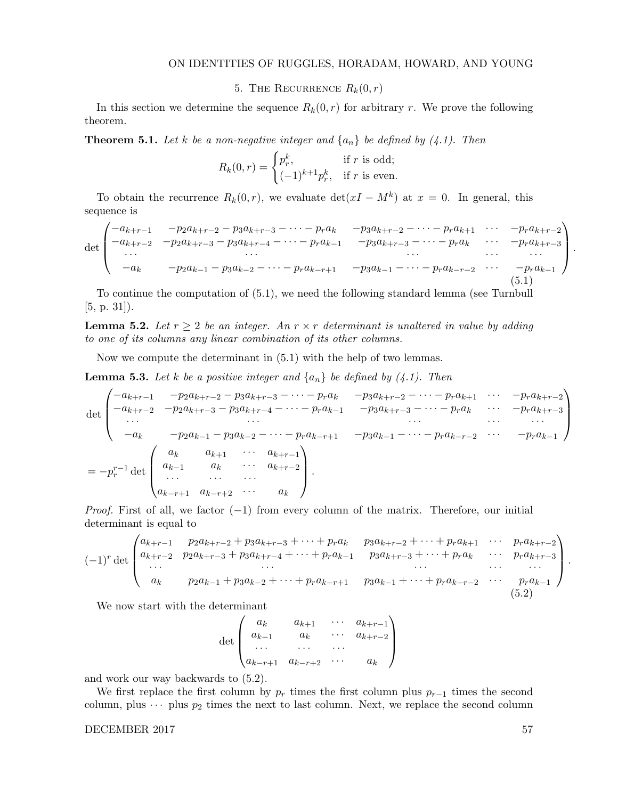5. THE RECURRENCE  $R_k(0,r)$ 

In this section we determine the sequence  $R_k(0, r)$  for arbitrary r. We prove the following theorem.

**Theorem 5.1.** Let k be a non-negative integer and  $\{a_n\}$  be defined by (4.1). Then

$$
R_k(0,r) = \begin{cases} p_r^k, & \text{if } r \text{ is odd;} \\ (-1)^{k+1} p_r^k, & \text{if } r \text{ is even.} \end{cases}
$$

To obtain the recurrence  $R_k(0,r)$ , we evaluate  $\det(xI - M^k)$  at  $x = 0$ . In general, this sequence is

$$
\det \begin{pmatrix}\n-a_{k+r-1} & -p_2 a_{k+r-2} - p_3 a_{k+r-3} - \cdots - p_r a_k & -p_3 a_{k+r-2} - \cdots - p_r a_{k+1} & \cdots & -p_r a_{k+r-2} \\
-a_{k+r-2} & -p_2 a_{k+r-3} - p_3 a_{k+r-4} - \cdots - p_r a_{k-1} & -p_3 a_{k+r-3} - \cdots - p_r a_k & \cdots & -p_r a_{k+r-3} \\
\vdots & \vdots & \vdots & \ddots & \vdots \\
-a_k & -p_2 a_{k-1} - p_3 a_{k-2} - \cdots - p_r a_{k-r+1} & -p_3 a_{k-1} - \cdots - p_r a_{k-r-2} & \cdots & -p_r a_{k-1} \\
\vdots & \vdots & \vdots & \ddots & \vdots \\
0 & 0 & 0 & 0 & 0\n\end{pmatrix}.
$$
\n(5.1)

To continue the computation of (5.1), we need the following standard lemma (see Turnbull [5, p. 31]).

**Lemma 5.2.** Let  $r \geq 2$  be an integer. An  $r \times r$  determinant is unaltered in value by adding to one of its columns any linear combination of its other columns.

Now we compute the determinant in (5.1) with the help of two lemmas.

**Lemma 5.3.** Let k be a positive integer and  $\{a_n\}$  be defined by (4.1). Then

$$
\det \begin{pmatrix}\n-a_{k+r-1} & -p_2 a_{k+r-2} - p_3 a_{k+r-3} - \cdots - p_r a_k & -p_3 a_{k+r-2} - \cdots - p_r a_{k+1} & \cdots & -p_r a_{k+r-2} \\
-a_{k+r-2} & -p_2 a_{k+r-3} - p_3 a_{k+r-4} - \cdots - p_r a_{k-1} & -p_3 a_{k+r-3} - \cdots - p_r a_k & \cdots & -p_r a_{k+r-3} \\
\vdots & \vdots & \vdots & \ddots & \vdots & \vdots \\
-a_k & -p_2 a_{k-1} - p_3 a_{k-2} - \cdots - p_r a_{k-r+1} & -p_3 a_{k-1} - \cdots - p_r a_{k-r-2} & \cdots & -p_r a_{k-1}\n\end{pmatrix}
$$
\n
$$
= -p_r^{r-1} \det \begin{pmatrix}\na_k & a_{k+1} & \cdots & a_{k+r-1} \\
a_{k-1} & a_k & \cdots & a_{k+r-2} \\
\vdots & \vdots & \ddots & \vdots \\
a_{k-r+1} & a_{k-r+2} & \cdots & a_k\n\end{pmatrix}.
$$

*Proof.* First of all, we factor  $(-1)$  from every column of the matrix. Therefore, our initial determinant is equal to

$$
(-1)^{r} \det \begin{pmatrix} a_{k+r-1} & p_{2}a_{k+r-2} + p_{3}a_{k+r-3} + \cdots + p_{r}a_{k} & p_{3}a_{k+r-2} + \cdots + p_{r}a_{k+1} & \cdots & p_{r}a_{k+r-2} \\ a_{k+r-2} & p_{2}a_{k+r-3} + p_{3}a_{k+r-4} + \cdots + p_{r}a_{k-1} & p_{3}a_{k+r-3} + \cdots + p_{r}a_{k} & \cdots & p_{r}a_{k+r-3} \\ \cdots & \cdots & \cdots & \cdots & \cdots \\ a_{k} & p_{2}a_{k-1} + p_{3}a_{k-2} + \cdots + p_{r}a_{k-r+1} & p_{3}a_{k-1} + \cdots + p_{r}a_{k-r-2} & \cdots & p_{r}a_{k-1} \\ (5.2)
$$

We now start with the determinant

det  $\sqrt{ }$  $\vert$  $a_k$   $a_{k+1}$   $\cdots$   $a_{k+r-1}$  $a_{k-1}$   $a_k$   $\cdots$   $a_{k+r-2}$ · · · · · · · · ·  $a_{k-r+1}$   $a_{k-r+2}$  · · ·  $a_k$  $\setminus$  $\Big\}$ 

and work our way backwards to (5.2).

We first replace the first column by  $p_r$  times the first column plus  $p_{r-1}$  times the second column, plus  $\cdots$  plus  $p_2$  times the next to last column. Next, we replace the second column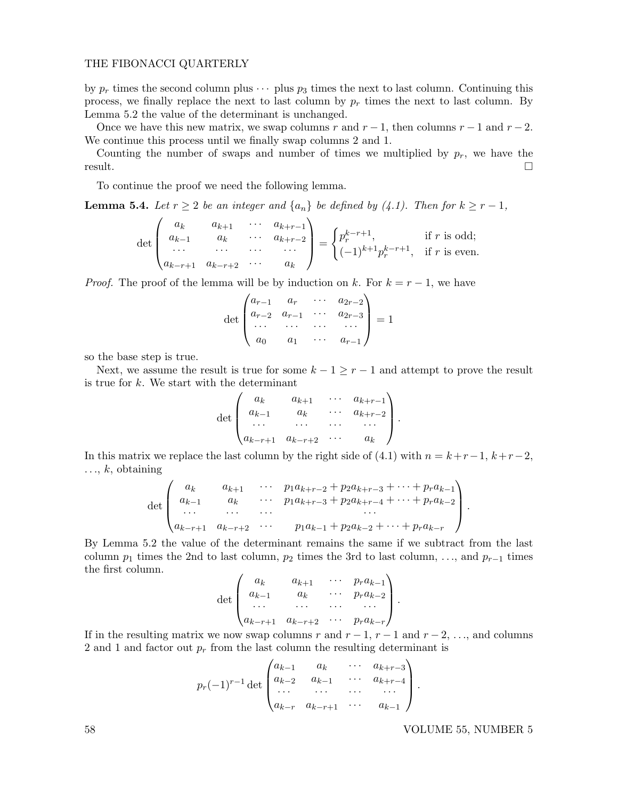by  $p_r$  times the second column plus  $\cdots$  plus  $p_3$  times the next to last column. Continuing this process, we finally replace the next to last column by  $p_r$  times the next to last column. By Lemma 5.2 the value of the determinant is unchanged.

Once we have this new matrix, we swap columns r and  $r-1$ , then columns  $r-1$  and  $r-2$ . We continue this process until we finally swap columns 2 and 1.

Counting the number of swaps and number of times we multiplied by  $p_r$ , we have the result.

To continue the proof we need the following lemma.

**Lemma 5.4.** Let  $r \geq 2$  be an integer and  $\{a_n\}$  be defined by (4.1). Then for  $k \geq r-1$ ,

$$
\det \begin{pmatrix} a_k & a_{k+1} & \cdots & a_{k+r-1} \\ a_{k-1} & a_k & \cdots & a_{k+r-2} \\ \cdots & \cdots & \cdots & \cdots \\ a_{k-r+1} & a_{k-r+2} & \cdots & a_k \end{pmatrix} = \begin{cases} p_r^{k-r+1}, & \text{if } r \text{ is odd;} \\ (-1)^{k+1} p_r^{k-r+1}, & \text{if } r \text{ is even.} \end{cases}
$$

*Proof.* The proof of the lemma will be by induction on k. For  $k = r - 1$ , we have

$$
\det \begin{pmatrix} a_{r-1} & a_r & \cdots & a_{2r-2} \\ a_{r-2} & a_{r-1} & \cdots & a_{2r-3} \\ \cdots & \cdots & \cdots & \cdots \\ a_0 & a_1 & \cdots & a_{r-1} \end{pmatrix} = 1
$$

so the base step is true.

Next, we assume the result is true for some  $k - 1 \ge r - 1$  and attempt to prove the result is true for  $k$ . We start with the determinant

$$
\det \begin{pmatrix} a_k & a_{k+1} & \cdots & a_{k+r-1} \\ a_{k-1} & a_k & \cdots & a_{k+r-2} \\ \cdots & \cdots & \cdots & \cdots \\ a_{k-r+1} & a_{k-r+2} & \cdots & a_k \end{pmatrix}.
$$

In this matrix we replace the last column by the right side of  $(4.1)$  with  $n = k+r-1$ ,  $k+r-2$ ,  $..., k$ , obtaining

$$
\det \begin{pmatrix} a_k & a_{k+1} & \cdots & p_1 a_{k+r-2} + p_2 a_{k+r-3} + \cdots + p_r a_{k-1} \\ a_{k-1} & a_k & \cdots & p_1 a_{k+r-3} + p_2 a_{k+r-4} + \cdots + p_r a_{k-2} \\ \cdots & \cdots & \cdots & \cdots \\ a_{k-r+1} & a_{k-r+2} & \cdots & p_1 a_{k-1} + p_2 a_{k-2} + \cdots + p_r a_{k-r} \end{pmatrix}.
$$

By Lemma 5.2 the value of the determinant remains the same if we subtract from the last column  $p_1$  times the 2nd to last column,  $p_2$  times the 3rd to last column, . . ., and  $p_{r-1}$  times the first column.

$$
\det \begin{pmatrix} a_k & a_{k+1} & \cdots & p_r a_{k-1} \\ a_{k-1} & a_k & \cdots & p_r a_{k-2} \\ \cdots & \cdots & \cdots & \cdots \\ a_{k-r+1} & a_{k-r+2} & \cdots & p_r a_{k-r} \end{pmatrix}.
$$

If in the resulting matrix we now swap columns r and  $r-1$ ,  $r-1$  and  $r-2$ , ..., and columns 2 and 1 and factor out  $p_r$  from the last column the resulting determinant is

$$
p_r(-1)^{r-1} \det \begin{pmatrix} a_{k-1} & a_k & \cdots & a_{k+r-3} \\ a_{k-2} & a_{k-1} & \cdots & a_{k+r-4} \\ \cdots & \cdots & \cdots & \cdots \\ a_{k-r} & a_{k-r+1} & \cdots & a_{k-1} \end{pmatrix}.
$$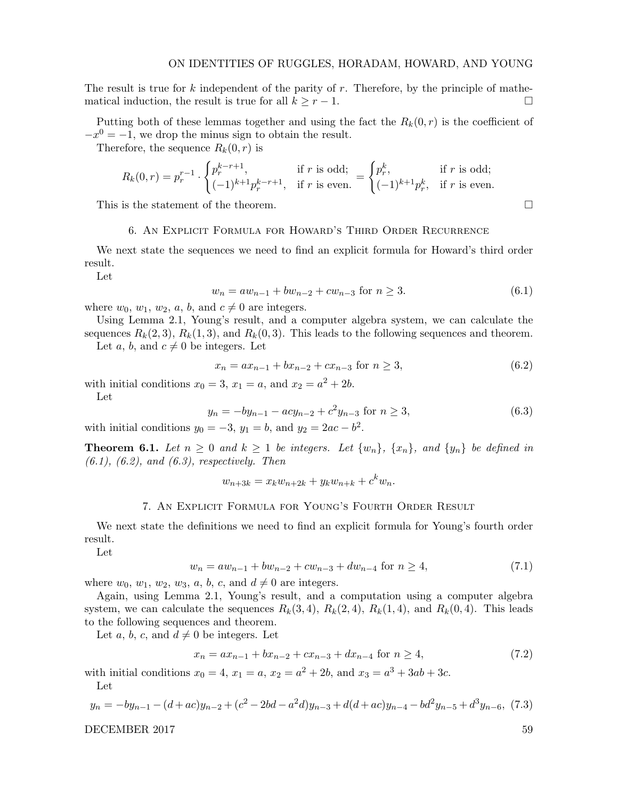The result is true for k independent of the parity of  $r$ . Therefore, by the principle of mathematical induction, the result is true for all  $k \geq r - 1$ .

Putting both of these lemmas together and using the fact the  $R_k(0,r)$  is the coefficient of  $-x^0 = -1$ , we drop the minus sign to obtain the result.

Therefore, the sequence  $R_k(0, r)$  is

$$
R_k(0,r) = p_r^{r-1} \cdot \begin{cases} p_r^{k-r+1}, & \text{if } r \text{ is odd;}\\ (-1)^{k+1} p_r^{k-r+1}, & \text{if } r \text{ is even.} \end{cases} = \begin{cases} p_r^k, & \text{if } r \text{ is odd;}\\ (-1)^{k+1} p_r^k, & \text{if } r \text{ is even.} \end{cases}
$$

This is the statement of the theorem.  $\Box$ 

## 6. An Explicit Formula for Howard's Third Order Recurrence

We next state the sequences we need to find an explicit formula for Howard's third order result.

Let

$$
w_n = aw_{n-1} + bw_{n-2} + cw_{n-3} \text{ for } n \ge 3. \tag{6.1}
$$

where  $w_0$ ,  $w_1$ ,  $w_2$ ,  $a$ ,  $b$ , and  $c \neq 0$  are integers.

Using Lemma 2.1, Young's result, and a computer algebra system, we can calculate the sequences  $R_k(2,3)$ ,  $R_k(1,3)$ , and  $R_k(0,3)$ . This leads to the following sequences and theorem.

Let a, b, and  $c \neq 0$  be integers. Let

$$
x_n = ax_{n-1} + bx_{n-2} + cx_{n-3} \text{ for } n \ge 3,
$$
\n(6.2)

with initial conditions  $x_0 = 3$ ,  $x_1 = a$ , and  $x_2 = a^2 + 2b$ .

Let

$$
y_n = -by_{n-1} - acy_{n-2} + c^2y_{n-3} \text{ for } n \ge 3,
$$
\n(6.3)

with initial conditions  $y_0 = -3$ ,  $y_1 = b$ , and  $y_2 = 2ac - b^2$ .

**Theorem 6.1.** Let  $n \geq 0$  and  $k \geq 1$  be integers. Let  $\{w_n\}$ ,  $\{x_n\}$ , and  $\{y_n\}$  be defined in  $(6.1), (6.2), and (6.3), respectively.$  Then

$$
w_{n+3k} = x_k w_{n+2k} + y_k w_{n+k} + c^k w_n.
$$

# 7. An Explicit Formula for Young's Fourth Order Result

We next state the definitions we need to find an explicit formula for Young's fourth order result.

Let

$$
w_n = aw_{n-1} + bw_{n-2} + cw_{n-3} + dw_{n-4} \text{ for } n \ge 4,
$$
\n(7.1)

where  $w_0$ ,  $w_1$ ,  $w_2$ ,  $w_3$ ,  $a$ ,  $b$ ,  $c$ , and  $d \neq 0$  are integers.

Again, using Lemma 2.1, Young's result, and a computation using a computer algebra system, we can calculate the sequences  $R_k(3,4)$ ,  $R_k(2,4)$ ,  $R_k(1,4)$ , and  $R_k(0,4)$ . This leads to the following sequences and theorem.

Let a, b, c, and  $d \neq 0$  be integers. Let

$$
x_n = ax_{n-1} + bx_{n-2} + cx_{n-3} + dx_{n-4} \text{ for } n \ge 4,
$$
\n(7.2)

with initial conditions  $x_0 = 4$ ,  $x_1 = a$ ,  $x_2 = a^2 + 2b$ , and  $x_3 = a^3 + 3ab + 3c$ . Let

$$
y_n = -by_{n-1} - (d+ac)y_{n-2} + (c^2 - 2bd - a^2d)y_{n-3} + d(d+ac)y_{n-4} - bd^2y_{n-5} + d^3y_{n-6}, (7.3)
$$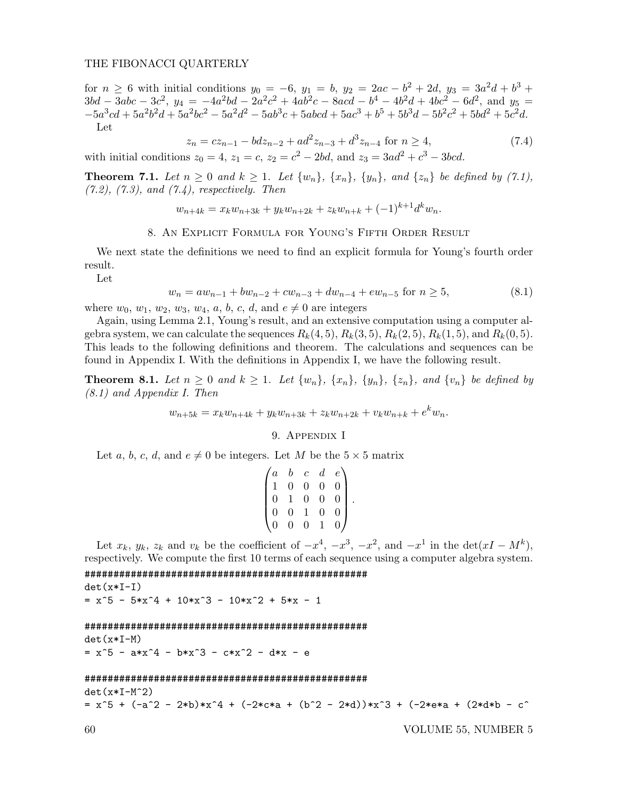for  $n \geq 6$  with initial conditions  $y_0 = -6$ ,  $y_1 = b$ ,  $y_2 = 2ac - b^2 + 2d$ ,  $y_3 = 3a^2d + b^3 +$  $3bd - 3abc - 3c^2$ ,  $y_4 = -4a^2bd - 2a^2c^2 + 4ab^2c - 8acd - b^4 - 4b^2d + 4bc^2 - 6d^2$ , and  $y_5 =$  $-5a^3cd + 5a^2b^2d + 5a^2bc^2 - 5a^2d^2 - 5ab^3c + 5abcd + 5ac^3 + b^5 + 5b^3d - 5b^2c^2 + 5bd^2 + 5c^2d$ Let

$$
z_n = cz_{n-1} - bdz_{n-2} + ad^2z_{n-3} + d^3z_{n-4} \text{ for } n \ge 4,
$$
\n(7.4)

with initial conditions  $z_0 = 4$ ,  $z_1 = c$ ,  $z_2 = c^2 - 2bd$ , and  $z_3 = 3ad^2 + c^3 - 3bcd$ .

**Theorem 7.1.** Let  $n \geq 0$  and  $k \geq 1$ . Let  $\{w_n\}$ ,  $\{x_n\}$ ,  $\{y_n\}$ , and  $\{z_n\}$  be defined by (7.1),  $(7.2)$ ,  $(7.3)$ , and  $(7.4)$ , respectively. Then

$$
w_{n+4k} = x_k w_{n+3k} + y_k w_{n+2k} + z_k w_{n+k} + (-1)^{k+1} d^k w_n.
$$

# 8. An Explicit Formula for Young's Fifth Order Result

We next state the definitions we need to find an explicit formula for Young's fourth order result.

Let

$$
w_n = aw_{n-1} + bw_{n-2} + cw_{n-3} + dw_{n-4} + ew_{n-5} \text{ for } n \ge 5,
$$
\n(8.1)

where  $w_0$ ,  $w_1$ ,  $w_2$ ,  $w_3$ ,  $w_4$ ,  $a$ ,  $b$ ,  $c$ ,  $d$ , and  $e \neq 0$  are integers

Again, using Lemma 2.1, Young's result, and an extensive computation using a computer algebra system, we can calculate the sequences  $R_k(4,5)$ ,  $R_k(3,5)$ ,  $R_k(2,5)$ ,  $R_k(1,5)$ , and  $R_k(0,5)$ . This leads to the following definitions and theorem. The calculations and sequences can be found in Appendix I. With the definitions in Appendix I, we have the following result.

**Theorem 8.1.** Let  $n \geq 0$  and  $k \geq 1$ . Let  $\{w_n\}$ ,  $\{x_n\}$ ,  $\{y_n\}$ ,  $\{z_n\}$ , and  $\{v_n\}$  be defined by (8.1) and Appendix I. Then

$$
w_{n+5k} = x_k w_{n+4k} + y_k w_{n+3k} + z_k w_{n+2k} + v_k w_{n+k} + e^k w_n.
$$

### 9. Appendix I

Let a, b, c, d, and  $e \neq 0$  be integers. Let M be the  $5 \times 5$  matrix

| $\overline{a}$ | $\mathfrak{b}$ |                                                | $d_{-}$        | $e^{\cdot}$ |  |
|----------------|----------------|------------------------------------------------|----------------|-------------|--|
|                | $\overline{0}$ |                                                | $\overline{0}$ |             |  |
| $\overline{0}$ |                | $\begin{matrix} c\ 0\ 0\ 0\ 1\ 0 \end{matrix}$ | $\Omega$       |             |  |
| $\overline{0}$ | $\overline{0}$ |                                                | $\theta$       |             |  |
|                |                |                                                |                |             |  |

Let  $x_k$ ,  $y_k$ ,  $z_k$  and  $v_k$  be the coefficient of  $-x^4$ ,  $-x^3$ ,  $-x^2$ , and  $-x^1$  in the  $\det(xI - M^k)$ , respectively. We compute the first 10 terms of each sequence using a computer algebra system.

################################################# det(x\*I-I)  $= x^5 - 5*x^4 + 10*x^3 - 10*x^2 + 5*x - 1$ 

```
#################################################
det(x*I-M)
= x^5 - a*x^4 - bx^3 - c*x^2 - dx^2 - e
```
#### #################################################

 $det(x*I-M^2)$ 

 $= x^5 + (-a^2 - 2*b)*x^4 + (-2*c*a + (b^2 - 2*d))*x^3 + (-2*e*a + (2*d*b - c^2)))$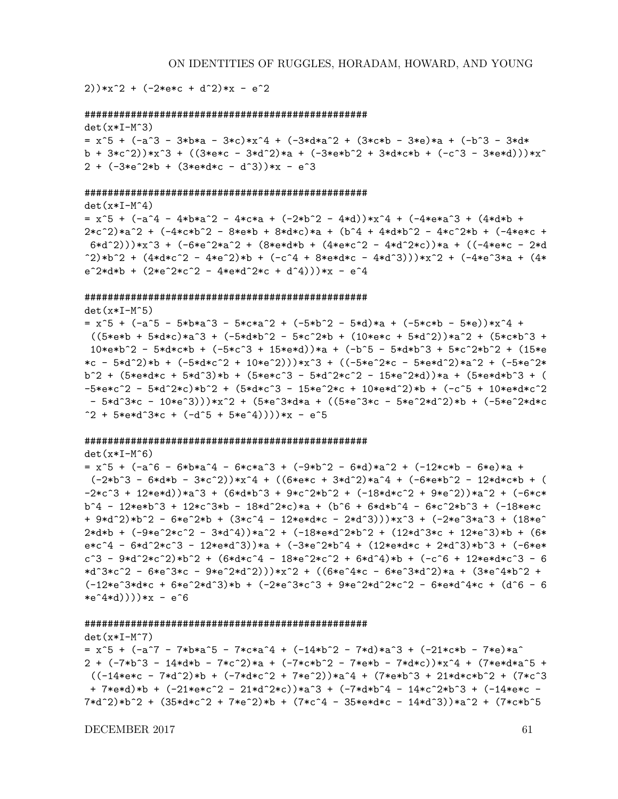$2)$ )\*x<sup>2</sup> + (-2\*e\*c + d<sup>2</sup>)\*x - e<sup>2</sup>

```
#################################################
det(x*T-M^3)= x^5 + (-a^3 - 3*b*a - 3*c)*x^4 + (-3*d*a^2 + (3*c*b - 3*e)*a + (-b^3 - 3*d*
b + 3*c<sup>2</sup>))*x<sup>3</sup> + ((3*e*c - 3*d<sup>2</sup>2)*a + (-3*e*b<sup>2</sup> + 3*d*c*b + (-c<sup>2</sup>3 - 3*e*d)))*x<sup>2</sup>
2 + (-3*e^2*b + (3*e*d*c - d^3))*x - e^3)
```
#### #################################################

 $det(x*I-M^4)$  $= x^5 + (-a^4 - 4*b*a^2 - 4*c*a + (-2*b^2 - 4*d))*x^4 + (-4*e*a^3 + (4*d*b + 4*)*)$  $2 * c^2$ )\*a^2 +  $(-4 * c * b^2 - 8 * e * b + 8 * d * c) * a + (b^4 + 4 * d * b^2 - 4 * c^2 * b + (-4 * e * c + c^2))$  $6*d^2)$ ))\*x^3 + (-6\*e^2\*a^2 + (8\*e\*d\*b + (4\*e\*c^2 - 4\*d^2\*c))\*a + ((-4\*e\*c - 2\*d  $(2)*b^2 + (4*d*c^2 - 4*e^2)*b + (-c^4 + 8*e*d*c - 4*d^3)))*x^2 + (-4*e^3*a + (4*e^3)*b^2 + (-4*e^3)*a^2 + (-4*e^3)*a^2 + (-4*e^3)*a^2 + (-4*e^3)*a^2 + (-4*e^3)*a^2 + (-4*e^3)*a^2 + (-4*e^3)*a^2 + (-4*e^3)*a^2 + (-4*e^3)*a^2 + (-4*e^3)*a^2 + (-4*e^3)*a^2 + (-4*e^3)*a^2 + (-4*e^3)*a^2 + (-4*e^3)*a^2 + (-4*e^3)*a^2 + (-4*e^3)*a^2$  $e^2*d*b + (2*e^2*c^2 - 4*e*d^2*c + d^4)))*x - e^4$ 

#### #################################################

det $(x*I-M^5)$  $=$  x^5 + (-a^5 - 5\*b\*a^3 - 5\*c\*a^2 + (-5\*b^2 - 5\*d)\*a + (-5\*c\*b - 5\*e))\*x^4 +  $((5*e*b + 5*d*c)*a^3 + (-5*d*b^2 - 5*c^2*b + (10*e*c + 5*d^2))*a^2 + (5*c*b^3 +$  $10*e*b^2$  - 5\*d\*c\*b + (-5\*c^3 + 15\*e\*d))\*a + (-b^5 - 5\*d\*b^3 + 5\*c^2\*b^2 + (15\*e \*c - 5\*d^2)\*b + (-5\*d\*c^2 + 10\*e^2)))\*x^3 + ((-5\*e^2\*c - 5\*e\*d^2)\*a^2 + (-5\*e^2\* b^2 + (5\*e\*d\*c + 5\*d^3)\*b + (5\*e\*c^3 - 5\*d^2\*c^2 - 15\*e^2\*d))\*a + (5\*e\*d\*b^3 + ( -5\*e\*c^2 - 5\*d^2\*c)\*b^2 + (5\*d\*c^3 - 15\*e^2\*c + 10\*e\*d^2)\*b + (-c^5 + 10\*e\*d\*c^2 - 5\*d^3\*c - 10\*e^3)))\*x^2 + (5\*e^3\*d\*a + ((5\*e^3\*c - 5\*e^2\*d^2)\*b + (-5\*e^2\*d\*c  $2 + 5*e*d^3*c + (-d^5 + 5*e^4)))**x - e^5$ 

#### #################################################

 $det(x*I-M^6)$ 

 $=$  x^5 + (-a^6 - 6\*b\*a^4 - 6\*c\*a^3 + (-9\*b^2 - 6\*d)\*a^2 + (-12\*c\*b - 6\*e)\*a +  $(-2*b^3 - 6*d*b - 3*c^2))*x^4 + ((6*e*c + 3*d^2)*a^4 + (-6*e*b^2 - 12*d*c*b + (12)*a^2 + (-6*e*b^2 - 12*d^2))*)$  $-2*c^3 + 12*exd$ )\*a^3 + (6\*d\*b^3 + 9\*c^2\*b^2 + (-18\*d\*c^2 + 9\*e^2))\*a^2 + (-6\*c\* b^4 - 12\*e\*b^3 + 12\*c^3\*b - 18\*d^2\*c)\*a + (b^6 + 6\*d\*b^4 - 6\*c^2\*b^3 + (-18\*e\*c + 9\*d^2)\*b^2 - 6\*e^2\*b + (3\*c^4 - 12\*e\*d\*c - 2\*d^3)))\*x^3 + (-2\*e^3\*a^3 + (18\*e^  $2*d*b + (-9*e^2*c^2 - 3*d^4)*a^2 + (-18*e*d^2*b^2 + (12*d^3*c + 12*e^3)*b + (6*$ e\*c^4 - 6\*d^2\*c^3 - 12\*e\*d^3))\*a + (-3\*e^2\*b^4 + (12\*e\*d\*c + 2\*d^3)\*b^3 + (-6\*e\*  $c^3$  - 9\*d^2\*c^2)\*b^2 + (6\*d\*c^4 - 18\*e^2\*c^2 + 6\*d^4)\*b + (-c^6 + 12\*e\*d\*c^3 - 6 \*d^3\*c^2 - 6\*e^3\*c - 9\*e^2\*d^2)))\*x^2 + ((6\*e^4\*c - 6\*e^3\*d^2)\*a + (3\*e^4\*b^2 +  $(-12*e^3*d*c + 6*e^2*d^3)*b + (-2*e^3*c^3 + 9*e^2*d^2*c^2 - 6*e*d^4*c + (d^6 - 6*)c^2 + 6*e^2)d^2*c^2$  $*e^4*d))$ ))\*x - e<sup>6</sup>

#### #################################################

 $det(x*T-M^2)$  $=$  x^5 + (-a^7 - 7\*b\*a^5 - 7\*c\*a^4 + (-14\*b^2 - 7\*d)\*a^3 + (-21\*c\*b - 7\*e)\*a^  $2 + (-7*)^2 = 14*d*b - 7*c^2)*a + (-7*c*b^2 - 7*e*b - 7*d*c))*x^4 + (7*e*d*a^5 + 14*cd*)^2 + (-7*cd*)^3$  $((-14*e*c - 7*d^2)*b + (-7*d *c^2 + 7*e^2))*a^4 + (7*e*b^3 + 21*d *c*b^2 + (7*c^3$ + 7\*e\*d)\*b + (-21\*e\*c^2 - 21\*d^2\*c))\*a^3 + (-7\*d\*b^4 - 14\*c^2\*b^3 + (-14\*e\*c - 7\*d^2)\*b^2 + (35\*d\*c^2 + 7\*e^2)\*b + (7\*c^4 - 35\*e\*d\*c - 14\*d^3))\*a^2 + (7\*c\*b^5

 $\angle$ DECEMBER 2017 61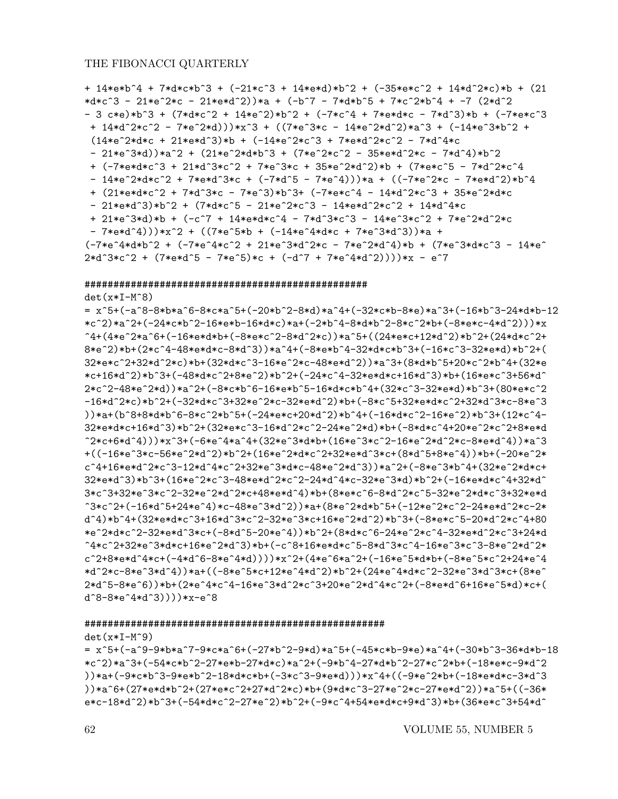```
+ 14*e*b^4 + 7*d*c*b^3 + (-21*c^3 + 14*e*d)*b^2 + (-35*e*c^2 + 14*d^2*c)*b + (21
*d*c^3 - 21*e^2*c - 21*e*d^2))*a + (-b^7 - 7*d*b^5 + 7*c^2*b^4 + -7 (2*d^2
- 3 c*e)*b^3 + (7*d*c^2 + 14*e^2)*b^2 + (-7*c^4 + 7*e*d*c - 7*d^3)*b + (-7*e*c^3
+ 14*d^2*c^2 - 7*e^2*d)))*x^3 + ((7*e^3*c - 14*e^2*d^2)*a^3 + (-14*e^3*b^2 +(14*e^2*d*c + 21*e*d^3)*b + (-14*e^2*c^3 + 7*e*d^2*c^2 - 7*d^4*c)- 21*e^3*d))*a^2 + (21*e^2*d*b^3 + (7*e^2*c^2 - 35*e*d^2*c - 7*d^4)*b^2
+ (-7*e*d*c^3 + 21*d^3*c^2 + 7*e^3*c + 35*e^2*d^2)*b + (7*e*c^5 - 7*d^2*c^4
 - 14*e^2*d*c^2 + 7*e*d^3*c + (-7*d^5 - 7*e^4)))*a + ((-7*e^2*c - 7*e*d^2)*b^4
+ (21*e*d*c^2 + 7*d^3*c - 7*e^3)*b^3+ (-7*e*c^4 - 14*d^2*c^3 + 35*e^2*d*c
- 21*e*d^3)*b^2 + (7*d*c^5 - 21*e^2*c^3 - 14*e*d^2*c^2 + 14*d^4*c
+ 21*e^3*d)*b + (-c^7 + 14*e*d*c^4 - 7*d^3*c^3 - 14*e^3*c^2 + 7*e^2*d^2*c- 7*e*d^4)))*x^2 + ((7*e^5*b + (-14*e^4*d*c + 7*e^3*d^3))*a +
(-7*e^4*d*b^2 + (-7*e^4*c^2 + 21*e^3*d^2*c - 7*e^2*d^4)*b + (7*e^3*d*c^3 - 14*e^2*)2*d^3*c^2 + (7*e*d^5 - 7*e^5)*c + (-d^7 + 7*e^4*d^2))))*x - e^7
```
#### #################################################

det(x\*I-M^8)

= x^5+(-a^8-8\*b\*a^6-8\*c\*a^5+(-20\*b^2-8\*d)\*a^4+(-32\*c\*b-8\*e)\*a^3+(-16\*b^3-24\*d\*b-12 \*c^2)\*a^2+(-24\*c\*b^2-16\*e\*b-16\*d\*c)\*a+(-2\*b^4-8\*d\*b^2-8\*c^2\*b+(-8\*e\*c-4\*d^2)))\*x ^4+(4\*e^2\*a^6+(-16\*e\*d\*b+(-8\*e\*c^2-8\*d^2\*c))\*a^5+((24\*e\*c+12\*d^2)\*b^2+(24\*d\*c^2+ 8\*e^2)\*b+(2\*c^4-48\*e\*d\*c-8\*d^3))\*a^4+(-8\*e\*b^4-32\*d\*c\*b^3+(-16\*c^3-32\*e\*d)\*b^2+( 32\*e\*c^2+32\*d^2\*c)\*b+(32\*d\*c^3-16\*e^2\*c-48\*e\*d^2))\*a^3+(8\*d\*b^5+20\*c^2\*b^4+(32\*e \*c+16\*d^2)\*b^3+(-48\*d\*c^2+8\*e^2)\*b^2+(-24\*c^4-32\*e\*d\*c+16\*d^3)\*b+(16\*e\*c^3+56\*d^ 2\*c^2-48\*e^2\*d))\*a^2+(-8\*c\*b^6-16\*e\*b^5-16\*d\*c\*b^4+(32\*c^3-32\*e\*d)\*b^3+(80\*e\*c^2 -16\*d^2\*c)\*b^2+(-32\*d\*c^3+32\*e^2\*c-32\*e\*d^2)\*b+(-8\*c^5+32\*e\*d\*c^2+32\*d^3\*c-8\*e^3 ))\*a+(b^8+8\*d\*b^6-8\*c^2\*b^5+(-24\*e\*c+20\*d^2)\*b^4+(-16\*d\*c^2-16\*e^2)\*b^3+(12\*c^4- 32\*e\*d\*c+16\*d^3)\*b^2+(32\*e\*c^3-16\*d^2\*c^2-24\*e^2\*d)\*b+(-8\*d\*c^4+20\*e^2\*c^2+8\*e\*d ^2\*c+6\*d^4)))\*x^3+(-6\*e^4\*a^4+(32\*e^3\*d\*b+(16\*e^3\*c^2-16\*e^2\*d^2\*c-8\*e\*d^4))\*a^3 +((-16\*e^3\*c-56\*e^2\*d^2)\*b^2+(16\*e^2\*d\*c^2+32\*e\*d^3\*c+(8\*d^5+8\*e^4))\*b+(-20\*e^2\* c^4+16\*e\*d^2\*c^3-12\*d^4\*c^2+32\*e^3\*d\*c-48\*e^2\*d^3))\*a^2+(-8\*e^3\*b^4+(32\*e^2\*d\*c+ 32\*e\*d^3)\*b^3+(16\*e^2\*c^3-48\*e\*d^2\*c^2-24\*d^4\*c-32\*e^3\*d)\*b^2+(-16\*e\*d\*c^4+32\*d^ 3\*c^3+32\*e^3\*c^2-32\*e^2\*d^2\*c+48\*e\*d^4)\*b+(8\*e\*c^6-8\*d^2\*c^5-32\*e^2\*d\*c^3+32\*e\*d ^3\*c^2+(-16\*d^5+24\*e^4)\*c-48\*e^3\*d^2))\*a+(8\*e^2\*d\*b^5+(-12\*e^2\*c^2-24\*e\*d^2\*c-2\* d^4)\*b^4+(32\*e\*d\*c^3+16\*d^3\*c^2-32\*e^3\*c+16\*e^2\*d^2)\*b^3+(-8\*e\*c^5-20\*d^2\*c^4+80 \*e^2\*d\*c^2-32\*e\*d^3\*c+(-8\*d^5-20\*e^4))\*b^2+(8\*d\*c^6-24\*e^2\*c^4-32\*e\*d^2\*c^3+24\*d ^4\*c^2+32\*e^3\*d\*c+16\*e^2\*d^3)\*b+(-c^8+16\*e\*d\*c^5-8\*d^3\*c^4-16\*e^3\*c^3-8\*e^2\*d^2\* c^2+8\*e\*d^4\*c+(-4\*d^6-8\*e^4\*d))))\*x^2+(4\*e^6\*a^2+(-16\*e^5\*d\*b+(-8\*e^5\*c^2+24\*e^4 \*d^2\*c-8\*e^3\*d^4))\*a+((-8\*e^5\*c+12\*e^4\*d^2)\*b^2+(24\*e^4\*d\*c^2-32\*e^3\*d^3\*c+(8\*e^ 2\*d^5-8\*e^6))\*b+(2\*e^4\*c^4-16\*e^3\*d^2\*c^3+20\*e^2\*d^4\*c^2+(-8\*e\*d^6+16\*e^5\*d)\*c+( d^8-8\*e^4\*d^3))))\*x-e^8

#### ####################################################

 $det(x*T-M^9)$ 

= x^5+(-a^9-9\*b\*a^7-9\*c\*a^6+(-27\*b^2-9\*d)\*a^5+(-45\*c\*b-9\*e)\*a^4+(-30\*b^3-36\*d\*b-18 \*c^2)\*a^3+(-54\*c\*b^2-27\*e\*b-27\*d\*c)\*a^2+(-9\*b^4-27\*d\*b^2-27\*c^2\*b+(-18\*e\*c-9\*d^2 ))\*a+(-9\*c\*b^3-9\*e\*b^2-18\*d\*c\*b+(-3\*c^3-9\*e\*d)))\*x^4+((-9\*e^2\*b+(-18\*e\*d\*c-3\*d^3 ))\*a^6+(27\*e\*d\*b^2+(27\*e\*c^2+27\*d^2\*c)\*b+(9\*d\*c^3-27\*e^2\*c-27\*e\*d^2))\*a^5+((-36\* e\*c-18\*d^2)\*b^3+(-54\*d\*c^2-27\*e^2)\*b^2+(-9\*c^4+54\*e\*d\*c+9\*d^3)\*b+(36\*e\*c^3+54\*d^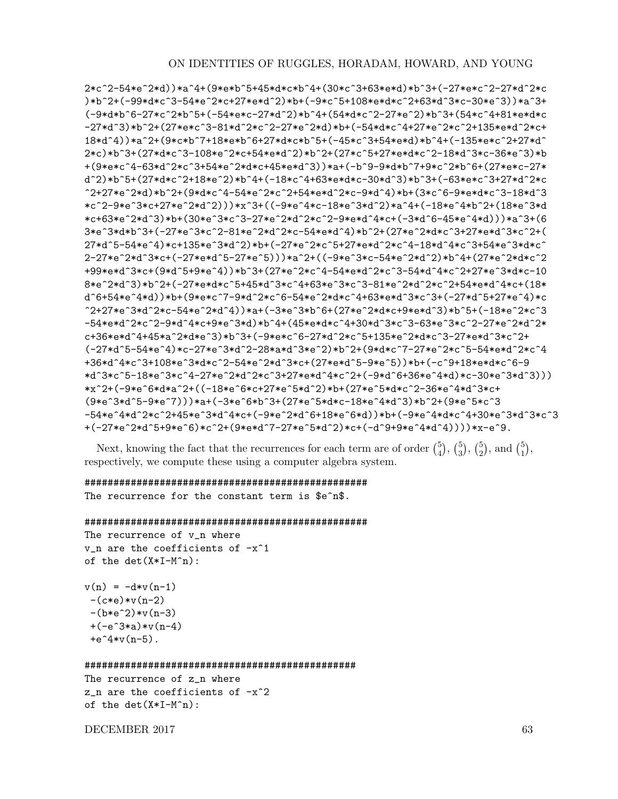```
2*c^2-54*e^2*d))*a^4+(9*e*b^5+45*d*c*b^4+(30*c^3+63*e*d)*b^3+(-27*e*c^2-27*d^2*c
)*b^2+(-99*d*c^3-54*e^2*c+27*e*d^2)*b+(-9*c^5+108*e*d*c^2+63*d^3*c-30*e^3))*a^3+
(-9*d*b^6-27*c^2*b^5+(-54*e*c-27*d^2)*b^4+(54*d*c^2-27*e^2)*b^3+(54*c^4+81*e*d*c
-27*d^3)*b^2+(27*e*c^3-81*d^2*c^2-27*e^2*d)*b+(-54*d*c^4+27*e^2*c^2+135*e*d^2*c+
18*d^4))*a^2+(9*c*b^7+18*e*b^6+27*d*c*b^5+(-45*c^3+54*e*d)*b^4+(-135*e*c^2+27*d^
2*c)*b^3+(27*d*c^3-108*e^2*c+54*e*d^2)*b^2+(27*c^5+27*e*d*c^2-18*d^3*c-36*e^3)*b
+(9*e*c^4-63*d^2*c^3+54*e^2*d*c+45*e*d^3))*a+(-b^9-9*d*b^7+9*c^2*b^6+(27*e*c-27*
d^2)*b^5+(27*d*c^2+18*e^2)*b^4+(-18*c^4+63*e*d*c-30*d^3)*b^3+(-63*e*c^3+27*d^2*c
^2+27*e^2*d)*b^2+(9*d*c^4-54*e^2*c^2+54*e*d^2*c-9*d^4)*b+(3*c^6-9*e*d*c^3-18*d^3
*c^2-9*e^3*c+27*e^2*d^2)))*x^3+((-9*e^4*c-18*e^3*d^2)*a^4+(-18*e^4*b^2+(18*e^3*d
*c+63*e^2*d^3)*b+(30*e^3*c^3-27*e^2*d^2*c^2-9*e*d^4*c+(-3*d^6-45*e^4*d)))*a^3+(6
3*e^3*d*b^3+(-27*e^3*c^2-81*e^2*d^2*c-54*e*d^4)*b^2+(27*e^2*d*c^3+27*e*d^3*c^2+(
27*d^5-54*e^4)*c+135*e^3*d^2)*b+(-27*e^2*c^5+27*e*d^2*c^4-18*d^4*c^3+54*e^3*d*c^
2-27*e^2*d^3*c+(-27*e*d^5-27*e^5)))*a^2+((-9*e^3*c-54*e^2*d^2)*b^4+(27*e^2*d*c^2
+99*e*d^3*c+(9*d^5+9*e^4))*b^3+(27*e^2*c^4-54*e*d^2*c^3-54*d^4*c^2+27*e^3*d*c-10
8*e^2*d^3)*b^2+(-27*e*d*c^5+45*d^3*c^4+63*e^3*c^3-81*e^2*d^2*c^2+54*e*d^4*c+(18*
d^6+54*e^4*d))*b+(9*e*c^7-9*d^2*c^6-54*e^2*d*c^4+63*e*d^3*c^3+(-27*d^5+27*e^4)*c
2+27*e^3*d^2*c-54*e^2*d^4)*a+(-3*e^3*b^6+(27*e^2*d*c+9*e*d^3)*b^5+(-18*e^2*c^3
-54*e*d^2*c^2-9*d^4*c+9*e^3*d)*b^4+(45*e*d*c^4+30*d^3*c^3-63*e^3*c^2-27*e^2*d^2*
c+36*e*d^4+45*a^2*d*e^3)*b^3+(-9*e*c^6-27*d^2*c^5+135*e^2*d*c^3-27*e*d^3*c^2+
(-27*d^5-54*e^4)*c-27*e^3*d^2-28*a*d^3*e^2)*b^2+(9*d*c^7-27*e^2*c^5-54*e*d^2*c^4
+36*d^4*c^3+108*e^3*d*c^2-54*e^2*d^3*c+(27*e*d^5-9*e^5))*b+(-c^9+18*e*d*c^6-9
*d^3*c^5-18*e^3*c^4-27*e^2*d^2*c^3+27*e*d^4*c^2+(-9*d^6+36*e^4*d)*c-30*e^3*d^3)))
*x^2+(-9*e^6*d*a^2+((-18*e^6*c+27*e^5*d^2)*b+(27*e^5*d*c^2-36*e^4*d^3*c+
(9*e^3*d^5-9*e^7)))*a+(-3*e^6*b^3+(27*e^5*d*c-18*e^4*d^3)*b^2+(9*e^5*c^3)-54*e^4*d^2*c^2+45*e^3*d^4*c+(-9*e^2*d^6+18*e^6*d))*b+(-9*e^4*d*c^4+30*e^3*d^3*c^3
+(-27*e^2*d^5+9*e^6)*c^2+(9*e*d^7-27*e^5*d^2)*c+(-d^9+9*e^4*d^4))))**c-e^9.
```

```
Next, knowing the fact that the recurrences for each term are of order \binom{5}{4}\binom{5}{4}, \binom{5}{3}\binom{5}{3}, \binom{5}{2}_{2}^{5}), and _{1}^{5}_{1}^{5}),respectively, we compute these using a computer algebra system.
```

```
#################################################
The recurrence for the constant term is $e^n$.
```
### #################################################

```
The recurrence of v_n where
v_n are the coefficients of -x^1of the det(X*I-M^n):
```

```
v(n) = -d*v(n-1)-(c*e)*v(n-2)-(b*e^2)*v(n-3)+(-e^3*a)*v(n-4)+e^4*v(n-5).
```
#### ###############################################

```
The recurrence of z_n where
z_n are the coefficients of -x^2of the det(X*I-M^n):
```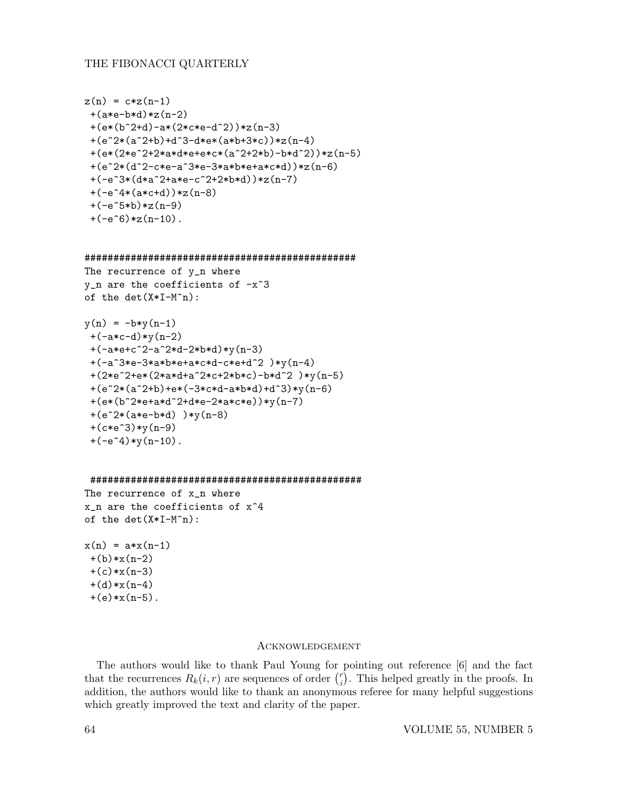```
z(n) = c \cdot z(n-1)+(a*e-b*d)*z(n-2)+(e*(b^2+d)-a*(2*c*e-d^2))*z(n-3)+(e^2*(a^2+b)+d^3-d*e*(a*b+3*c))*z(n-4)+(e*(2*e^2+2*a*d*e+e*c*(a^2+2*b)-b*d^2))*z(n-5)
+(e^2*(d^2-c*e-a^3*e-3*a*b*e+a*c*d))*z(n-6)
+(-e^3*(d*a^2+a*e-c^2+2*b*d))*z(n-7))+(-e^4*(a*c+d))*z(n-8))+(-e^5*b)*z(n-9)+(-e^6) *z(n-10).
```

```
###############################################
```

```
The recurrence of y_n where
y_n are the coefficients of -x^3
of the det(X*I-M^n):
```

```
y(n) = -b*y(n-1)+(-a*c-d)*y(n-2)+(-a*e+c^2-a^2*d-2*b*d)*y(n-3)
+(-a^3*e-3*a*b*e+a*c*d-c*e+d^2)*y(n-4)+(2*e^2+e*(2*a*d+a^2*c+2*b*c)-b*d^2 )*y(n-5)
+(e^2*(a^2+b)+e*(-3*c*d-a*b*d)+d^3)*y(n-6)+(e*(b^2*e+a*d^2+d*e-2*a*c*e))*y(n-7)
+(e^2*(a*e-b*d) )*y(n-8)
+(c*e^3)*y(n-9)+(-e^4)*y(n-10).
```

```
###############################################
```
The recurrence of x\_n where x\_n are the coefficients of x^4 of the  $det(X*I-M^n):$ 

```
x(n) = a*x(n-1)+(b)*x(n-2)+(c)*x(n-3)+(d)*x(n-4)+(e)*x(n-5).
```
## Acknowledgement

The authors would like to thank Paul Young for pointing out reference [6] and the fact that the recurrences  $R_k(i, r)$  are sequences of order  $\binom{r}{i}$  $\binom{r}{i}$ . This helped greatly in the proofs. In addition, the authors would like to thank an anonymous referee for many helpful suggestions which greatly improved the text and clarity of the paper.